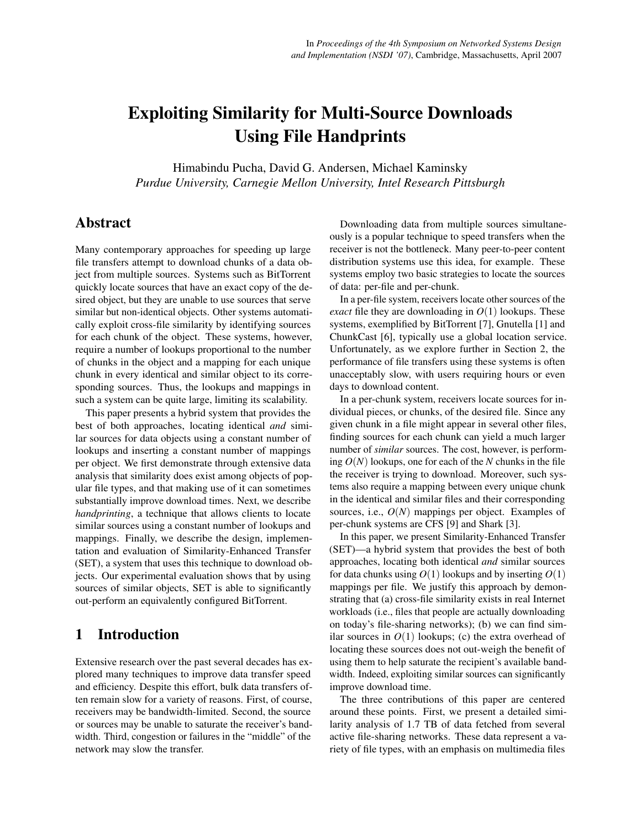# Exploiting Similarity for Multi-Source Downloads Using File Handprints

Himabindu Pucha, David G. Andersen, Michael Kaminsky *Purdue University, Carnegie Mellon University, Intel Research Pittsburgh*

# Abstract

Many contemporary approaches for speeding up large file transfers attempt to download chunks of a data object from multiple sources. Systems such as BitTorrent quickly locate sources that have an exact copy of the desired object, but they are unable to use sources that serve similar but non-identical objects. Other systems automatically exploit cross-file similarity by identifying sources for each chunk of the object. These systems, however, require a number of lookups proportional to the number of chunks in the object and a mapping for each unique chunk in every identical and similar object to its corresponding sources. Thus, the lookups and mappings in such a system can be quite large, limiting its scalability.

This paper presents a hybrid system that provides the best of both approaches, locating identical *and* similar sources for data objects using a constant number of lookups and inserting a constant number of mappings per object. We first demonstrate through extensive data analysis that similarity does exist among objects of popular file types, and that making use of it can sometimes substantially improve download times. Next, we describe *handprinting*, a technique that allows clients to locate similar sources using a constant number of lookups and mappings. Finally, we describe the design, implementation and evaluation of Similarity-Enhanced Transfer (SET), a system that uses this technique to download objects. Our experimental evaluation shows that by using sources of similar objects, SET is able to significantly out-perform an equivalently configured BitTorrent.

# 1 Introduction

Extensive research over the past several decades has explored many techniques to improve data transfer speed and efficiency. Despite this effort, bulk data transfers often remain slow for a variety of reasons. First, of course, receivers may be bandwidth-limited. Second, the source or sources may be unable to saturate the receiver's bandwidth. Third, congestion or failures in the "middle" of the network may slow the transfer.

Downloading data from multiple sources simultaneously is a popular technique to speed transfers when the receiver is not the bottleneck. Many peer-to-peer content distribution systems use this idea, for example. These systems employ two basic strategies to locate the sources of data: per-file and per-chunk.

In a per-file system, receivers locate other sources of the *exact* file they are downloading in  $O(1)$  lookups. These systems, exemplified by BitTorrent [[7](#page-13-0)], Gnutella [[1](#page-13-1)] and ChunkCast [[6](#page-13-2)], typically use a global location service. Unfortunately, as we explore further in Section [2,](#page-1-0) the performance of file transfers using these systems is often unacceptably slow, with users requiring hours or even days to download content.

In a per-chunk system, receivers locate sources for individual pieces, or chunks, of the desired file. Since any given chunk in a file might appear in several other files, finding sources for each chunk can yield a much larger number of *similar* sources. The cost, however, is performing *O*(*N*) lookups, one for each of the *N* chunks in the file the receiver is trying to download. Moreover, such systems also require a mapping between every unique chunk in the identical and similar files and their corresponding sources, i.e., *O*(*N*) mappings per object. Examples of per-chunk systems are CFS [\[9\]](#page-13-3) and Shark [\[3\]](#page-13-4).

In this paper, we present Similarity-Enhanced Transfer (SET)—a hybrid system that provides the best of both approaches, locating both identical *and* similar sources for data chunks using  $O(1)$  lookups and by inserting  $O(1)$ mappings per file. We justify this approach by demonstrating that (a) cross-file similarity exists in real Internet workloads (i.e., files that people are actually downloading on today's file-sharing networks); (b) we can find similar sources in  $O(1)$  lookups; (c) the extra overhead of locating these sources does not out-weigh the benefit of using them to help saturate the recipient's available bandwidth. Indeed, exploiting similar sources can significantly improve download time.

The three contributions of this paper are centered around these points. First, we present a detailed similarity analysis of 1.7 TB of data fetched from several active file-sharing networks. These data represent a variety of file types, with an emphasis on multimedia files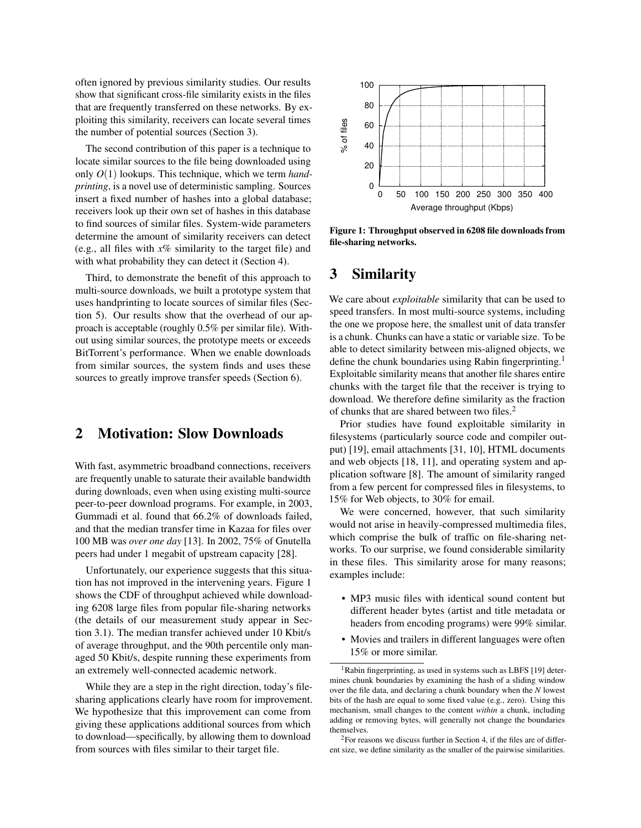often ignored by previous similarity studies. Our results show that significant cross-file similarity exists in the files that are frequently transferred on these networks. By exploiting this similarity, receivers can locate several times the number of potential sources (Section [3\)](#page-1-1).

The second contribution of this paper is a technique to locate similar sources to the file being downloaded using only *O*(1) lookups. This technique, which we term *handprinting*, is a novel use of deterministic sampling. Sources insert a fixed number of hashes into a global database; receivers look up their own set of hashes in this database to find sources of similar files. System-wide parameters determine the amount of similarity receivers can detect (e.g., all files with *x*% similarity to the target file) and with what probability they can detect it (Section [4\)](#page-4-0).

Third, to demonstrate the benefit of this approach to multi-source downloads, we built a prototype system that uses handprinting to locate sources of similar files (Section [5\)](#page-6-0). Our results show that the overhead of our approach is acceptable (roughly 0.5% per similar file). Without using similar sources, the prototype meets or exceeds BitTorrent's performance. When we enable downloads from similar sources, the system finds and uses these sources to greatly improve transfer speeds (Section [6\)](#page-8-0).

# <span id="page-1-0"></span>2 Motivation: Slow Downloads

With fast, asymmetric broadband connections, receivers are frequently unable to saturate their available bandwidth during downloads, even when using existing multi-source peer-to-peer download programs. For example, in 2003, Gummadi et al. found that 66.2% of downloads failed, and that the median transfer time in Kazaa for files over 100 MB was *over one day* [[13](#page-13-5)]. In 2002, 75% of Gnutella peers had under 1 megabit of upstream capacity [\[28\]](#page-13-6).

Unfortunately, our experience suggests that this situation has not improved in the intervening years. Figure [1](#page-1-2) shows the CDF of throughput achieved while downloading 6208 large files from popular file-sharing networks (the details of our measurement study appear in Section [3.1\)](#page-2-0). The median transfer achieved under 10 Kbit/s of average throughput, and the 90th percentile only managed 50 Kbit/s, despite running these experiments from an extremely well-connected academic network.

While they are a step in the right direction, today's filesharing applications clearly have room for improvement. We hypothesize that this improvement can come from giving these applications additional sources from which to download—specifically, by allowing them to download from sources with files similar to their target file.



<span id="page-1-2"></span>Figure 1: Throughput observed in 6208 file downloads from file-sharing networks.

# <span id="page-1-1"></span>3 Similarity

We care about *exploitable* similarity that can be used to speed transfers. In most multi-source systems, including the one we propose here, the smallest unit of data transfer is a chunk. Chunks can have a static or variable size. To be able to detect similarity between mis-aligned objects, we define the chunk boundaries using Rabin fingerprinting.<sup>[1](#page-1-3)</sup> Exploitable similarity means that another file shares entire chunks with the target file that the receiver is trying to download. We therefore define similarity as the fraction of chunks that are shared between two files.[2](#page-1-4)

Prior studies have found exploitable similarity in filesystems (particularly source code and compiler output) [\[19\]](#page-13-7), email attachments [\[31,](#page-13-8) [10\]](#page-13-9), HTML documents and web objects [[18](#page-13-10), [11](#page-13-11)], and operating system and application software [[8](#page-13-12)]. The amount of similarity ranged from a few percent for compressed files in filesystems, to 15% for Web objects, to 30% for email.

We were concerned, however, that such similarity would not arise in heavily-compressed multimedia files, which comprise the bulk of traffic on file-sharing networks. To our surprise, we found considerable similarity in these files. This similarity arose for many reasons; examples include:

- MP3 music files with identical sound content but different header bytes (artist and title metadata or headers from encoding programs) were 99% similar.
- Movies and trailers in different languages were often 15% or more similar.

<span id="page-1-3"></span><sup>&</sup>lt;sup>1</sup>Rabin fingerprinting, as used in systems such as LBFS [[19](#page-13-7)] determines chunk boundaries by examining the hash of a sliding window over the file data, and declaring a chunk boundary when the *N* lowest bits of the hash are equal to some fixed value (e.g., zero). Using this mechanism, small changes to the content *within* a chunk, including adding or removing bytes, will generally not change the boundaries themselves.

<span id="page-1-4"></span><sup>2</sup>For reasons we discuss further in Section [4,](#page-4-0) if the files are of different size, we define similarity as the smaller of the pairwise similarities.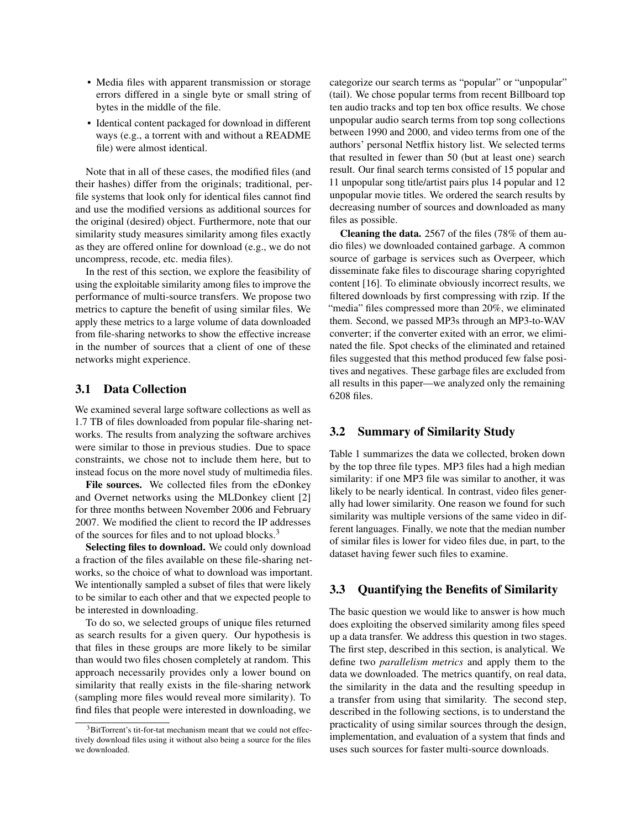- Media files with apparent transmission or storage errors differed in a single byte or small string of bytes in the middle of the file.
- Identical content packaged for download in different ways (e.g., a torrent with and without a README file) were almost identical.

Note that in all of these cases, the modified files (and their hashes) differ from the originals; traditional, perfile systems that look only for identical files cannot find and use the modified versions as additional sources for the original (desired) object. Furthermore, note that our similarity study measures similarity among files exactly as they are offered online for download (e.g., we do not uncompress, recode, etc. media files).

In the rest of this section, we explore the feasibility of using the exploitable similarity among files to improve the performance of multi-source transfers. We propose two metrics to capture the benefit of using similar files. We apply these metrics to a large volume of data downloaded from file-sharing networks to show the effective increase in the number of sources that a client of one of these networks might experience.

### <span id="page-2-0"></span>3.1 Data Collection

We examined several large software collections as well as 1.7 TB of files downloaded from popular file-sharing networks. The results from analyzing the software archives were similar to those in previous studies. Due to space constraints, we chose not to include them here, but to instead focus on the more novel study of multimedia files.

File sources. We collected files from the eDonkey and Overnet networks using the MLDonkey client [[2](#page-13-13)] for three months between November 2006 and February 2007. We modified the client to record the IP addresses of the sources for files and to not upload blocks.<sup>[3](#page-2-1)</sup>

Selecting files to download. We could only download a fraction of the files available on these file-sharing networks, so the choice of what to download was important. We intentionally sampled a subset of files that were likely to be similar to each other and that we expected people to be interested in downloading.

To do so, we selected groups of unique files returned as search results for a given query. Our hypothesis is that files in these groups are more likely to be similar than would two files chosen completely at random. This approach necessarily provides only a lower bound on similarity that really exists in the file-sharing network (sampling more files would reveal more similarity). To find files that people were interested in downloading, we categorize our search terms as "popular" or "unpopular" (tail). We chose popular terms from recent Billboard top ten audio tracks and top ten box office results. We chose unpopular audio search terms from top song collections between 1990 and 2000, and video terms from one of the authors' personal Netflix history list. We selected terms that resulted in fewer than 50 (but at least one) search result. Our final search terms consisted of 15 popular and 11 unpopular song title/artist pairs plus 14 popular and 12 unpopular movie titles. We ordered the search results by decreasing number of sources and downloaded as many files as possible.

Cleaning the data. 2567 of the files (78% of them audio files) we downloaded contained garbage. A common source of garbage is services such as Overpeer, which disseminate fake files to discourage sharing copyrighted content [[16](#page-13-14)]. To eliminate obviously incorrect results, we filtered downloads by first compressing with rzip. If the "media" files compressed more than 20%, we eliminated them. Second, we passed MP3s through an MP3-to-WAV converter; if the converter exited with an error, we eliminated the file. Spot checks of the eliminated and retained files suggested that this method produced few false positives and negatives. These garbage files are excluded from all results in this paper—we analyzed only the remaining 6208 files.

### 3.2 Summary of Similarity Study

Table [1](#page-3-0) summarizes the data we collected, broken down by the top three file types. MP3 files had a high median similarity: if one MP3 file was similar to another, it was likely to be nearly identical. In contrast, video files generally had lower similarity. One reason we found for such similarity was multiple versions of the same video in different languages. Finally, we note that the median number of similar files is lower for video files due, in part, to the dataset having fewer such files to examine.

### 3.3 Quantifying the Benefits of Similarity

The basic question we would like to answer is how much does exploiting the observed similarity among files speed up a data transfer. We address this question in two stages. The first step, described in this section, is analytical. We define two *parallelism metrics* and apply them to the data we downloaded. The metrics quantify, on real data, the similarity in the data and the resulting speedup in a transfer from using that similarity. The second step, described in the following sections, is to understand the practicality of using similar sources through the design, implementation, and evaluation of a system that finds and uses such sources for faster multi-source downloads.

<span id="page-2-1"></span><sup>&</sup>lt;sup>3</sup>BitTorrent's tit-for-tat mechanism meant that we could not effectively download files using it without also being a source for the files we downloaded.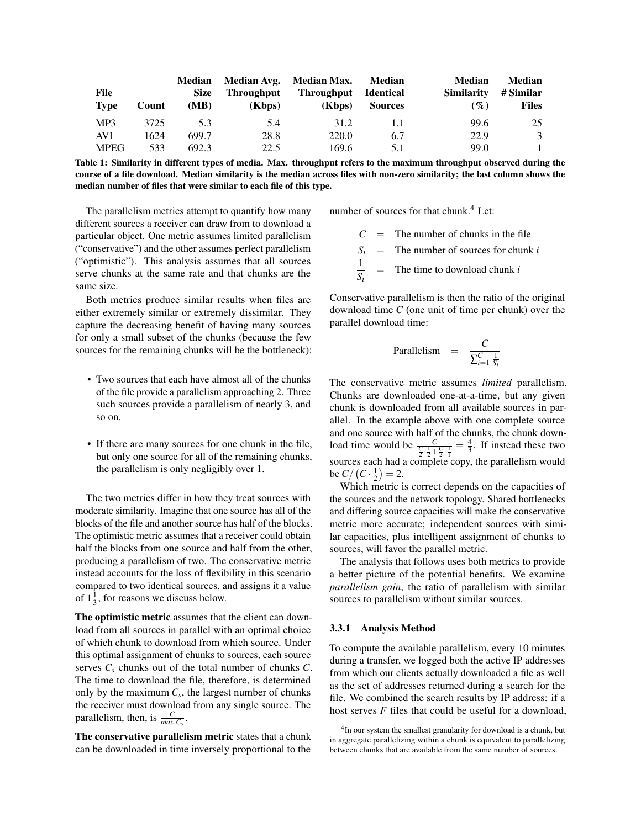| File<br><b>Type</b> | Count | <b>Median</b><br><b>Size</b><br>(MB) | <b>Throughput</b><br>(Kbps) | Median Avg. Median Max.<br>Throughput<br>(Kbps) | Median<br>Identical<br><b>Sources</b> | <b>Median</b><br><b>Similarity</b><br>$\left( \mathscr{G}_{o}\right)$ | <b>Median</b><br># Similar<br><b>Files</b> |
|---------------------|-------|--------------------------------------|-----------------------------|-------------------------------------------------|---------------------------------------|-----------------------------------------------------------------------|--------------------------------------------|
| MP3                 | 3725  | 5.3                                  | 5.4                         | 31.2                                            | 1.1                                   | 99.6                                                                  | 25.                                        |
| <b>AVI</b>          | 1624  | 699.7                                | 28.8                        | 220.0                                           | 6.7                                   | 22.9                                                                  |                                            |
| <b>MPEG</b>         | 533   | 692.3                                | 22.5                        | 169.6                                           | 5.1                                   | 99.0                                                                  |                                            |

<span id="page-3-0"></span>Table 1: Similarity in different types of media. Max. throughput refers to the maximum throughput observed during the course of a file download. Median similarity is the median across files with non-zero similarity; the last column shows the median number of files that were similar to each file of this type.

The parallelism metrics attempt to quantify how many different sources a receiver can draw from to download a particular object. One metric assumes limited parallelism ("conservative") and the other assumes perfect parallelism ("optimistic"). This analysis assumes that all sources serve chunks at the same rate and that chunks are the same size.

Both metrics produce similar results when files are either extremely similar or extremely dissimilar. They capture the decreasing benefit of having many sources for only a small subset of the chunks (because the few sources for the remaining chunks will be the bottleneck):

- Two sources that each have almost all of the chunks of the file provide a parallelism approaching 2. Three such sources provide a parallelism of nearly 3, and so on.
- If there are many sources for one chunk in the file, but only one source for all of the remaining chunks, the parallelism is only negligibly over 1.

The two metrics differ in how they treat sources with moderate similarity. Imagine that one source has all of the blocks of the file and another source has half of the blocks. The optimistic metric assumes that a receiver could obtain half the blocks from one source and half from the other, producing a parallelism of two. The conservative metric instead accounts for the loss of flexibility in this scenario compared to two identical sources, and assigns it a value of  $1\frac{1}{3}$ , for reasons we discuss below.

The optimistic metric assumes that the client can download from all sources in parallel with an optimal choice of which chunk to download from which source. Under this optimal assignment of chunks to sources, each source serves *C<sup>s</sup>* chunks out of the total number of chunks *C*. The time to download the file, therefore, is determined only by the maximum  $C_s$ , the largest number of chunks the receiver must download from any single source. The parallelism, then, is  $\frac{C}{max C_s}$ .

The conservative parallelism metric states that a chunk can be downloaded in time inversely proportional to the number of sources for that chunk. $4$  Let:

 $C =$  The number of chunks in the file

 $S_i$  = The number of sources for chunk *i* 

1 *Si* = The time to download chunk *i*

Conservative parallelism is then the ratio of the original download time *C* (one unit of time per chunk) over the parallel download time:

Parallelism = 
$$
\frac{C}{\sum_{i=1}^{C} \frac{1}{S_i}}
$$

The conservative metric assumes *limited* parallelism. Chunks are downloaded one-at-a-time, but any given chunk is downloaded from all available sources in parallel. In the example above with one complete source and one source with half of the chunks, the chunk download time would be  $\frac{C}{\frac{C}{2} \cdot \frac{1}{2} + \frac{C}{2} \cdot \frac{1}{1}} = \frac{4}{3}$ . If instead these two sources each had a complete copy, the parallelism would be  $C / (C \cdot \frac{1}{2}) = 2$ .

Which metric is correct depends on the capacities of the sources and the network topology. Shared bottlenecks and differing source capacities will make the conservative metric more accurate; independent sources with similar capacities, plus intelligent assignment of chunks to sources, will favor the parallel metric.

The analysis that follows uses both metrics to provide a better picture of the potential benefits. We examine *parallelism gain*, the ratio of parallelism with similar sources to parallelism without similar sources.

#### 3.3.1 Analysis Method

To compute the available parallelism, every 10 minutes during a transfer, we logged both the active IP addresses from which our clients actually downloaded a file as well as the set of addresses returned during a search for the file. We combined the search results by IP address: if a host serves *F* files that could be useful for a download,

<span id="page-3-1"></span><sup>&</sup>lt;sup>4</sup>In our system the smallest granularity for download is a chunk, but in aggregate parallelizing within a chunk is equivalent to parallelizing between chunks that are available from the same number of sources.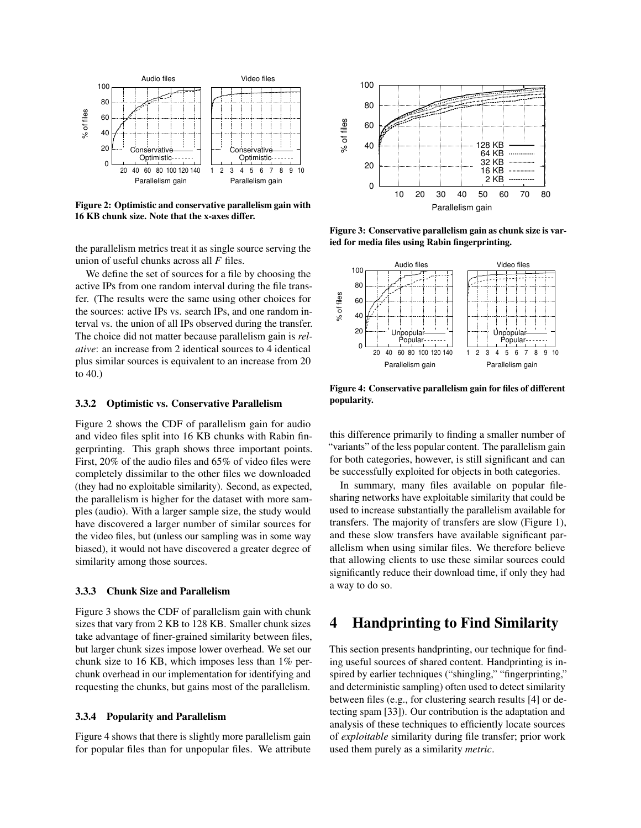

<span id="page-4-1"></span>Figure 2: Optimistic and conservative parallelism gain with 16 KB chunk size. Note that the x-axes differ.

the parallelism metrics treat it as single source serving the union of useful chunks across all *F* files.

We define the set of sources for a file by choosing the active IPs from one random interval during the file transfer. (The results were the same using other choices for the sources: active IPs vs. search IPs, and one random interval vs. the union of all IPs observed during the transfer. The choice did not matter because parallelism gain is *relative*: an increase from 2 identical sources to 4 identical plus similar sources is equivalent to an increase from 20 to 40.)

#### 3.3.2 Optimistic vs. Conservative Parallelism

Figure [2](#page-4-1) shows the CDF of parallelism gain for audio and video files split into 16 KB chunks with Rabin fingerprinting. This graph shows three important points. First, 20% of the audio files and 65% of video files were completely dissimilar to the other files we downloaded (they had no exploitable similarity). Second, as expected, the parallelism is higher for the dataset with more samples (audio). With a larger sample size, the study would have discovered a larger number of similar sources for the video files, but (unless our sampling was in some way biased), it would not have discovered a greater degree of similarity among those sources.

### 3.3.3 Chunk Size and Parallelism

Figure [3](#page-4-2) shows the CDF of parallelism gain with chunk sizes that vary from 2 KB to 128 KB. Smaller chunk sizes take advantage of finer-grained similarity between files, but larger chunk sizes impose lower overhead. We set our chunk size to 16 KB, which imposes less than 1% perchunk overhead in our implementation for identifying and requesting the chunks, but gains most of the parallelism.

#### 3.3.4 Popularity and Parallelism

Figure [4](#page-4-3) shows that there is slightly more parallelism gain for popular files than for unpopular files. We attribute



<span id="page-4-2"></span>Figure 3: Conservative parallelism gain as chunk size is varied for media files using Rabin fingerprinting.



<span id="page-4-3"></span>Figure 4: Conservative parallelism gain for files of different popularity.

this difference primarily to finding a smaller number of "variants" of the less popular content. The parallelism gain for both categories, however, is still significant and can be successfully exploited for objects in both categories.

In summary, many files available on popular filesharing networks have exploitable similarity that could be used to increase substantially the parallelism available for transfers. The majority of transfers are slow (Figure [1\)](#page-1-2), and these slow transfers have available significant parallelism when using similar files. We therefore believe that allowing clients to use these similar sources could significantly reduce their download time, if only they had a way to do so.

# <span id="page-4-0"></span>4 Handprinting to Find Similarity

This section presents handprinting, our technique for finding useful sources of shared content. Handprinting is inspired by earlier techniques ("shingling," "fingerprinting," and deterministic sampling) often used to detect similarity between files (e.g., for clustering search results [[4](#page-13-15)] or detecting spam [[33](#page-13-16)]). Our contribution is the adaptation and analysis of these techniques to efficiently locate sources of *exploitable* similarity during file transfer; prior work used them purely as a similarity *metric*.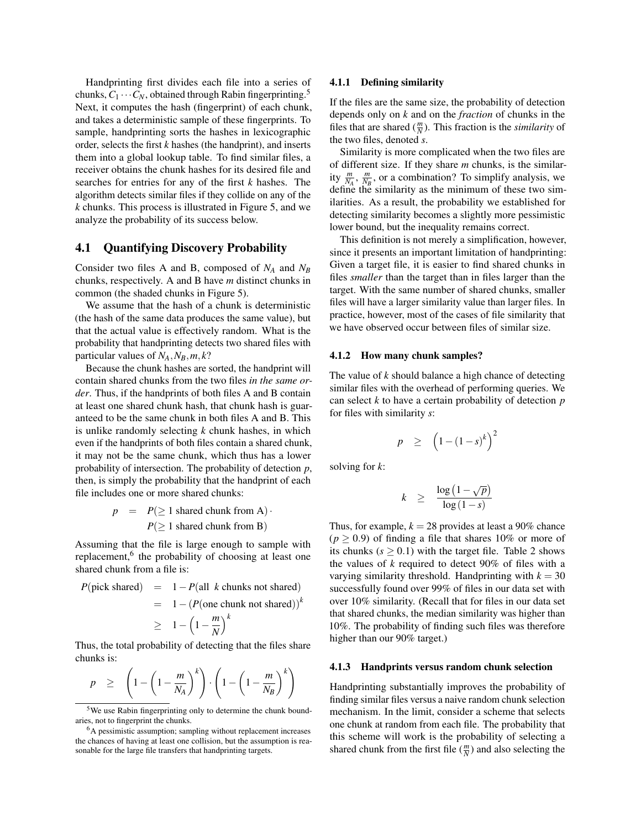Handprinting first divides each file into a series of chunks,  $C_1 \cdots C_N$ , obtained through Rabin fingerprinting.<sup>[5](#page-5-0)</sup> Next, it computes the hash (fingerprint) of each chunk, and takes a deterministic sample of these fingerprints. To sample, handprinting sorts the hashes in lexicographic order, selects the first *k* hashes (the handprint), and inserts them into a global lookup table. To find similar files, a receiver obtains the chunk hashes for its desired file and searches for entries for any of the first *k* hashes. The algorithm detects similar files if they collide on any of the *k* chunks. This process is illustrated in Figure [5,](#page-6-1) and we analyze the probability of its success below.

### 4.1 Quantifying Discovery Probability

Consider two files A and B, composed of *N<sup>A</sup>* and *N<sup>B</sup>* chunks, respectively. A and B have *m* distinct chunks in common (the shaded chunks in Figure [5\)](#page-6-1).

We assume that the hash of a chunk is deterministic (the hash of the same data produces the same value), but that the actual value is effectively random. What is the probability that handprinting detects two shared files with particular values of  $N_A$ ,  $N_B$ ,  $m$ ,  $k$ ?

Because the chunk hashes are sorted, the handprint will contain shared chunks from the two files *in the same order*. Thus, if the handprints of both files A and B contain at least one shared chunk hash, that chunk hash is guaranteed to be the same chunk in both files A and B. This is unlike randomly selecting *k* chunk hashes, in which even if the handprints of both files contain a shared chunk, it may not be the same chunk, which thus has a lower probability of intersection. The probability of detection *p*, then, is simply the probability that the handprint of each file includes one or more shared chunks:

$$
p = P(\ge 1 \text{ shared chunk from A}) \cdot P(\ge 1 \text{ shared chunk from B})
$$

Assuming that the file is large enough to sample with replacement,<sup>[6](#page-5-1)</sup> the probability of choosing at least one shared chunk from a file is:

$$
P(\text{pick shared}) = 1 - P(\text{all } k \text{ chunks not shared})
$$
  
= 1 - (P(\text{one chunk not shared}))<sup>k</sup>  

$$
\geq 1 - \left(1 - \frac{m}{N}\right)^k
$$

Thus, the total probability of detecting that the files share chunks is:

$$
p \geq \left(1 - \left(1 - \frac{m}{N_A}\right)^k\right) \cdot \left(1 - \left(1 - \frac{m}{N_B}\right)^k\right)
$$

#### 4.1.1 Defining similarity

If the files are the same size, the probability of detection depends only on *k* and on the *fraction* of chunks in the files that are shared  $(\frac{m}{N})$ . This fraction is the *similarity* of the two files, denoted *s*.

Similarity is more complicated when the two files are of different size. If they share *m* chunks, is the similarity  $\frac{m}{N_A}$ ,  $\frac{m}{N_B}$ , or a combination? To simplify analysis, we define the similarity as the minimum of these two similarities. As a result, the probability we established for detecting similarity becomes a slightly more pessimistic lower bound, but the inequality remains correct.

This definition is not merely a simplification, however, since it presents an important limitation of handprinting: Given a target file, it is easier to find shared chunks in files *smaller* than the target than in files larger than the target. With the same number of shared chunks, smaller files will have a larger similarity value than larger files. In practice, however, most of the cases of file similarity that we have observed occur between files of similar size.

#### 4.1.2 How many chunk samples?

The value of *k* should balance a high chance of detecting similar files with the overhead of performing queries. We can select *k* to have a certain probability of detection *p* for files with similarity *s*:

$$
p \ge \left(1 - (1 - s)^k\right)^2
$$

solving for *k*:

$$
k \geq \frac{\log(1-\sqrt{p})}{\log(1-s)}
$$

Thus, for example,  $k = 28$  provides at least a 90% chance  $(p \ge 0.9)$  of finding a file that shares 10% or more of its chunks  $(s \ge 0.1)$  with the target file. Table [2](#page-6-2) shows the values of *k* required to detect 90% of files with a varying similarity threshold. Handprinting with  $k = 30$ successfully found over 99% of files in our data set with over 10% similarity. (Recall that for files in our data set that shared chunks, the median similarity was higher than 10%. The probability of finding such files was therefore higher than our 90% target.)

#### 4.1.3 Handprints versus random chunk selection

Handprinting substantially improves the probability of finding similar files versus a naive random chunk selection mechanism. In the limit, consider a scheme that selects one chunk at random from each file. The probability that this scheme will work is the probability of selecting a shared chunk from the first file  $(\frac{m}{N})$  and also selecting the

<span id="page-5-0"></span><sup>&</sup>lt;sup>5</sup>We use Rabin fingerprinting only to determine the chunk boundaries, not to fingerprint the chunks.

<span id="page-5-1"></span><sup>6</sup>A pessimistic assumption; sampling without replacement increases the chances of having at least one collision, but the assumption is reasonable for the large file transfers that handprinting targets.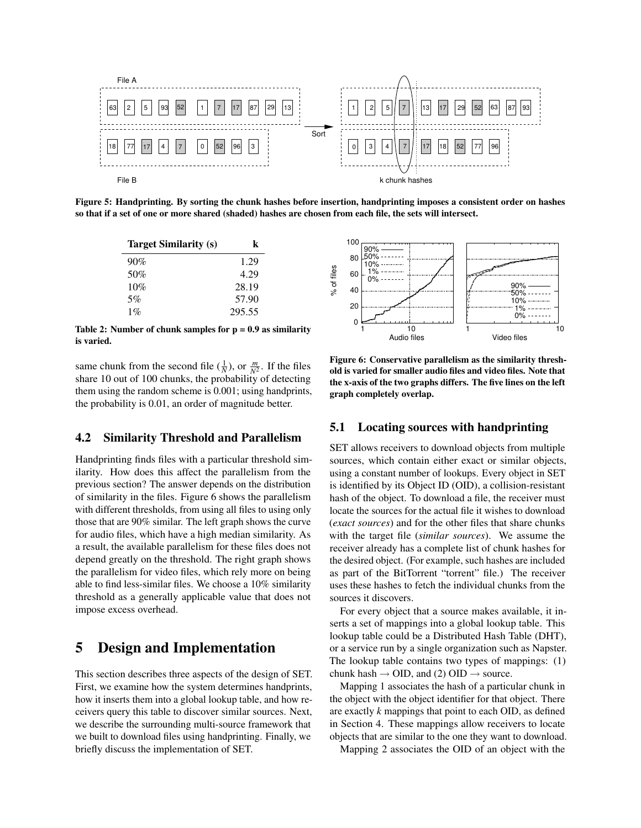

<span id="page-6-1"></span>Figure 5: Handprinting. By sorting the chunk hashes before insertion, handprinting imposes a consistent order on hashes so that if a set of one or more shared (shaded) hashes are chosen from each file, the sets will intersect.

| <b>Target Similarity (s)</b> | k      |
|------------------------------|--------|
| 90%                          | 1.29   |
| 50%                          | 4.29   |
| 10%                          | 28.19  |
| 5%                           | 57.90  |
| $1\%$                        | 295.55 |

<span id="page-6-2"></span>Table 2: Number of chunk samples for  $p = 0.9$  as similarity is varied.

same chunk from the second file  $(\frac{1}{N})$ , or  $\frac{m}{N^2}$ . If the files share 10 out of 100 chunks, the probability of detecting them using the random scheme is 0.001; using handprints, the probability is 0.01, an order of magnitude better.

### 4.2 Similarity Threshold and Parallelism

Handprinting finds files with a particular threshold similarity. How does this affect the parallelism from the previous section? The answer depends on the distribution of similarity in the files. Figure [6](#page-6-3) shows the parallelism with different thresholds, from using all files to using only those that are 90% similar. The left graph shows the curve for audio files, which have a high median similarity. As a result, the available parallelism for these files does not depend greatly on the threshold. The right graph shows the parallelism for video files, which rely more on being able to find less-similar files. We choose a 10% similarity threshold as a generally applicable value that does not impose excess overhead.

# <span id="page-6-0"></span>5 Design and Implementation

This section describes three aspects of the design of SET. First, we examine how the system determines handprints, how it inserts them into a global lookup table, and how receivers query this table to discover similar sources. Next, we describe the surrounding multi-source framework that we built to download files using handprinting. Finally, we briefly discuss the implementation of SET.



<span id="page-6-3"></span>Figure 6: Conservative parallelism as the similarity threshold is varied for smaller audio files and video files. Note that the x-axis of the two graphs differs. The five lines on the left graph completely overlap.

### 5.1 Locating sources with handprinting

SET allows receivers to download objects from multiple sources, which contain either exact or similar objects, using a constant number of lookups. Every object in SET is identified by its Object ID (OID), a collision-resistant hash of the object. To download a file, the receiver must locate the sources for the actual file it wishes to download (*exact sources*) and for the other files that share chunks with the target file (*similar sources*). We assume the receiver already has a complete list of chunk hashes for the desired object. (For example, such hashes are included as part of the BitTorrent "torrent" file.) The receiver uses these hashes to fetch the individual chunks from the sources it discovers.

For every object that a source makes available, it inserts a set of mappings into a global lookup table. This lookup table could be a Distributed Hash Table (DHT), or a service run by a single organization such as Napster. The lookup table contains two types of mappings: (1) chunk hash  $\rightarrow$  OID, and (2) OID  $\rightarrow$  source.

Mapping 1 associates the hash of a particular chunk in the object with the object identifier for that object. There are exactly *k* mappings that point to each OID, as defined in Section [4.](#page-4-0) These mappings allow receivers to locate objects that are similar to the one they want to download.

Mapping 2 associates the OID of an object with the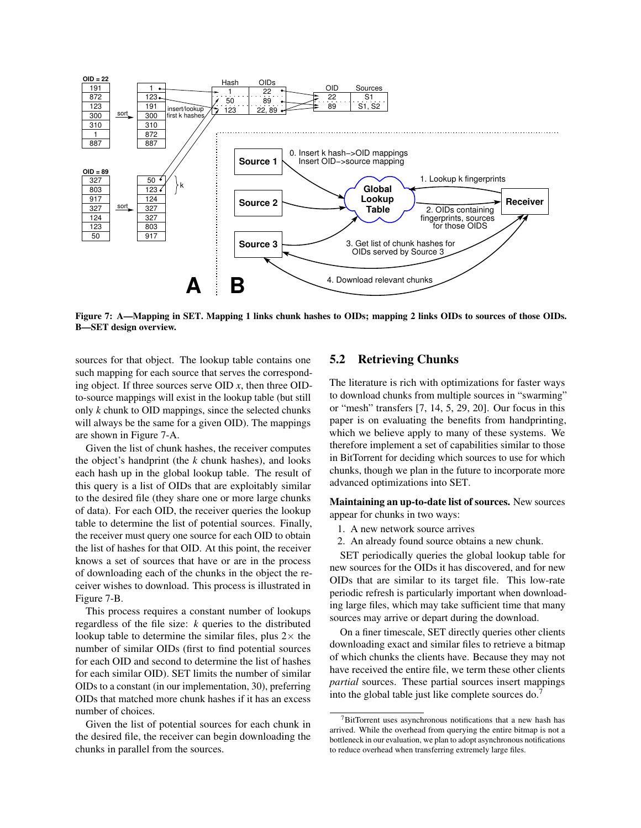

<span id="page-7-0"></span>Figure 7: A—Mapping in SET. Mapping 1 links chunk hashes to OIDs; mapping 2 links OIDs to sources of those OIDs. B—SET design overview.

sources for that object. The lookup table contains one such mapping for each source that serves the corresponding object. If three sources serve OID *x*, then three OIDto-source mappings will exist in the lookup table (but still only *k* chunk to OID mappings, since the selected chunks will always be the same for a given OID). The mappings are shown in Figure [7-](#page-7-0)A.

Given the list of chunk hashes, the receiver computes the object's handprint (the *k* chunk hashes), and looks each hash up in the global lookup table. The result of this query is a list of OIDs that are exploitably similar to the desired file (they share one or more large chunks of data). For each OID, the receiver queries the lookup table to determine the list of potential sources. Finally, the receiver must query one source for each OID to obtain the list of hashes for that OID. At this point, the receiver knows a set of sources that have or are in the process of downloading each of the chunks in the object the receiver wishes to download. This process is illustrated in Figure [7-](#page-7-0)B.

This process requires a constant number of lookups regardless of the file size: *k* queries to the distributed lookup table to determine the similar files, plus  $2 \times$  the number of similar OIDs (first to find potential sources for each OID and second to determine the list of hashes for each similar OID). SET limits the number of similar OIDs to a constant (in our implementation, 30), preferring OIDs that matched more chunk hashes if it has an excess number of choices.

Given the list of potential sources for each chunk in the desired file, the receiver can begin downloading the chunks in parallel from the sources.

### 5.2 Retrieving Chunks

The literature is rich with optimizations for faster ways to download chunks from multiple sources in "swarming" or "mesh" transfers [[7](#page-13-0), [14](#page-13-17), [5](#page-13-18), [29](#page-13-19), [20](#page-13-20)]. Our focus in this paper is on evaluating the benefits from handprinting, which we believe apply to many of these systems. We therefore implement a set of capabilities similar to those in BitTorrent for deciding which sources to use for which chunks, though we plan in the future to incorporate more advanced optimizations into SET.

Maintaining an up-to-date list of sources. New sources appear for chunks in two ways:

- 1. A new network source arrives
- 2. An already found source obtains a new chunk.

SET periodically queries the global lookup table for new sources for the OIDs it has discovered, and for new OIDs that are similar to its target file. This low-rate periodic refresh is particularly important when downloading large files, which may take sufficient time that many sources may arrive or depart during the download.

On a finer timescale, SET directly queries other clients downloading exact and similar files to retrieve a bitmap of which chunks the clients have. Because they may not have received the entire file, we term these other clients *partial* sources. These partial sources insert mappings into the global table just like complete sources do.[7](#page-7-1)

<span id="page-7-1"></span><sup>&</sup>lt;sup>7</sup>BitTorrent uses asynchronous notifications that a new hash has arrived. While the overhead from querying the entire bitmap is not a bottleneck in our evaluation, we plan to adopt asynchronous notifications to reduce overhead when transferring extremely large files.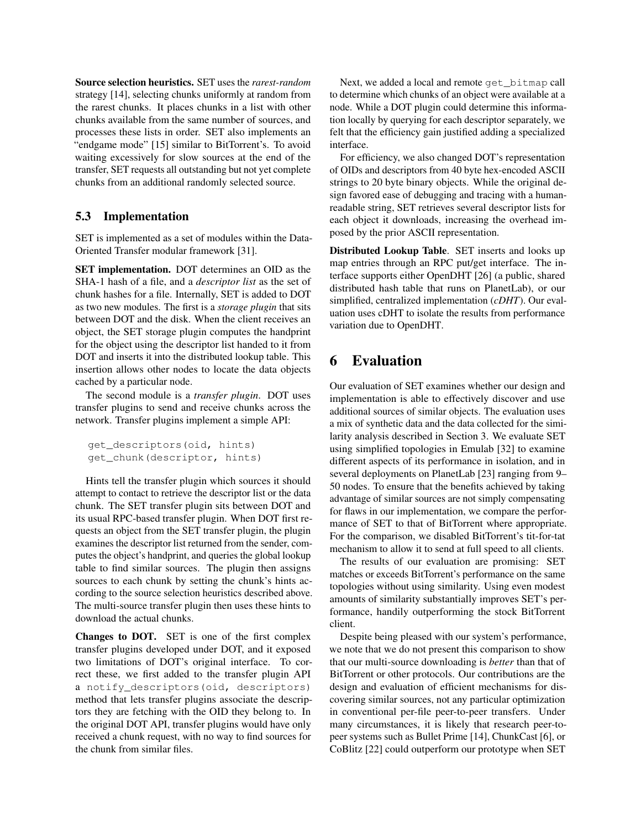Source selection heuristics. SET uses the *rarest-random* strategy [[14](#page-13-17)], selecting chunks uniformly at random from the rarest chunks. It places chunks in a list with other chunks available from the same number of sources, and processes these lists in order. SET also implements an "endgame mode" [[15](#page-13-21)] similar to BitTorrent's. To avoid waiting excessively for slow sources at the end of the transfer, SET requests all outstanding but not yet complete chunks from an additional randomly selected source.

## 5.3 Implementation

SET is implemented as a set of modules within the Data-Oriented Transfer modular framework [\[31\]](#page-13-8).

SET implementation. DOT determines an OID as the SHA-1 hash of a file, and a *descriptor list* as the set of chunk hashes for a file. Internally, SET is added to DOT as two new modules. The first is a *storage plugin* that sits between DOT and the disk. When the client receives an object, the SET storage plugin computes the handprint for the object using the descriptor list handed to it from DOT and inserts it into the distributed lookup table. This insertion allows other nodes to locate the data objects cached by a particular node.

The second module is a *transfer plugin*. DOT uses transfer plugins to send and receive chunks across the network. Transfer plugins implement a simple API:

```
get_descriptors(oid, hints)
get_chunk(descriptor, hints)
```
Hints tell the transfer plugin which sources it should attempt to contact to retrieve the descriptor list or the data chunk. The SET transfer plugin sits between DOT and its usual RPC-based transfer plugin. When DOT first requests an object from the SET transfer plugin, the plugin examines the descriptor list returned from the sender, computes the object's handprint, and queries the global lookup table to find similar sources. The plugin then assigns sources to each chunk by setting the chunk's hints according to the source selection heuristics described above. The multi-source transfer plugin then uses these hints to download the actual chunks.

Changes to DOT. SET is one of the first complex transfer plugins developed under DOT, and it exposed two limitations of DOT's original interface. To correct these, we first added to the transfer plugin API a notify\_descriptors(oid, descriptors) method that lets transfer plugins associate the descriptors they are fetching with the OID they belong to. In the original DOT API, transfer plugins would have only received a chunk request, with no way to find sources for the chunk from similar files.

Next, we added a local and remote get bitmap call to determine which chunks of an object were available at a node. While a DOT plugin could determine this information locally by querying for each descriptor separately, we felt that the efficiency gain justified adding a specialized interface.

For efficiency, we also changed DOT's representation of OIDs and descriptors from 40 byte hex-encoded ASCII strings to 20 byte binary objects. While the original design favored ease of debugging and tracing with a humanreadable string, SET retrieves several descriptor lists for each object it downloads, increasing the overhead imposed by the prior ASCII representation.

Distributed Lookup Table. SET inserts and looks up map entries through an RPC put/get interface. The interface supports either OpenDHT [[26](#page-13-22)] (a public, shared distributed hash table that runs on PlanetLab), or our simplified, centralized implementation (*cDHT*). Our evaluation uses cDHT to isolate the results from performance variation due to OpenDHT.

# <span id="page-8-0"></span>6 Evaluation

Our evaluation of SET examines whether our design and implementation is able to effectively discover and use additional sources of similar objects. The evaluation uses a mix of synthetic data and the data collected for the similarity analysis described in Section [3.](#page-1-1) We evaluate SET using simplified topologies in Emulab [[32](#page-13-23)] to examine different aspects of its performance in isolation, and in several deployments on PlanetLab [[23](#page-13-24)] ranging from 9– 50 nodes. To ensure that the benefits achieved by taking advantage of similar sources are not simply compensating for flaws in our implementation, we compare the performance of SET to that of BitTorrent where appropriate. For the comparison, we disabled BitTorrent's tit-for-tat mechanism to allow it to send at full speed to all clients.

The results of our evaluation are promising: SET matches or exceeds BitTorrent's performance on the same topologies without using similarity. Using even modest amounts of similarity substantially improves SET's performance, handily outperforming the stock BitTorrent client.

Despite being pleased with our system's performance, we note that we do not present this comparison to show that our multi-source downloading is *better* than that of BitTorrent or other protocols. Our contributions are the design and evaluation of efficient mechanisms for discovering similar sources, not any particular optimization in conventional per-file peer-to-peer transfers. Under many circumstances, it is likely that research peer-topeer systems such as Bullet Prime [[14](#page-13-17)], ChunkCast [[6](#page-13-2)], or CoBlitz [[22](#page-13-25)] could outperform our prototype when SET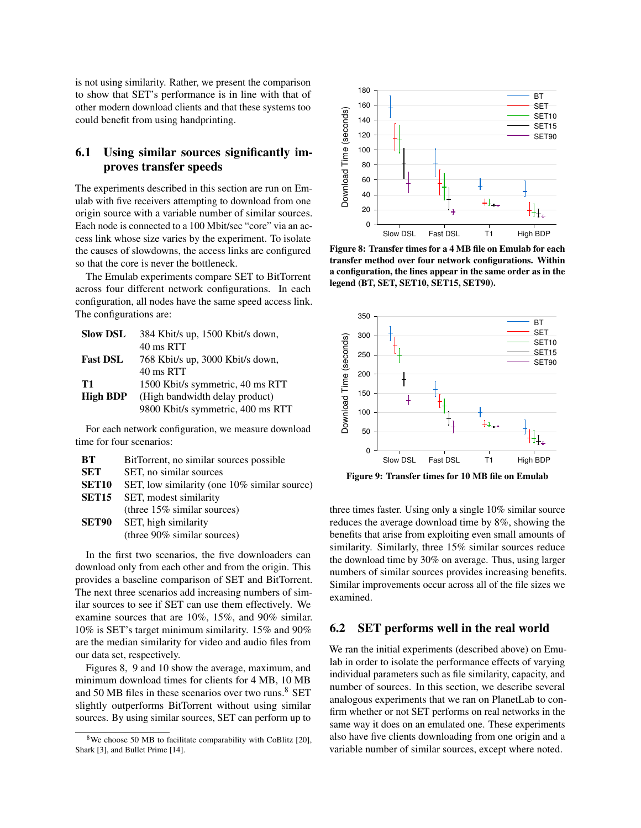is not using similarity. Rather, we present the comparison to show that SET's performance is in line with that of other modern download clients and that these systems too could benefit from using handprinting.

## 6.1 Using similar sources significantly improves transfer speeds

The experiments described in this section are run on Emulab with five receivers attempting to download from one origin source with a variable number of similar sources. Each node is connected to a 100 Mbit/sec "core" via an access link whose size varies by the experiment. To isolate the causes of slowdowns, the access links are configured so that the core is never the bottleneck.

The Emulab experiments compare SET to BitTorrent across four different network configurations. In each configuration, all nodes have the same speed access link. The configurations are:

| <b>Slow DSL</b> | 384 Kbit/s up, 1500 Kbit/s down,  |
|-----------------|-----------------------------------|
|                 | 40 ms RTT                         |
| <b>Fast DSL</b> | 768 Kbit/s up, 3000 Kbit/s down,  |
|                 | 40 ms RTT                         |
| T1              | 1500 Kbit/s symmetric, 40 ms RTT  |
| <b>High BDP</b> | (High bandwidth delay product)    |
|                 | 9800 Kbit/s symmetric, 400 ms RTT |

For each network configuration, we measure download time for four scenarios:

| BT           | BitTorrent, no similar sources possible      |  |  |
|--------------|----------------------------------------------|--|--|
| <b>SET</b>   | SET, no similar sources                      |  |  |
| <b>SET10</b> | SET, low similarity (one 10% similar source) |  |  |
| SET15        | SET, modest similarity                       |  |  |
|              | (three $15\%$ similar sources)               |  |  |
| SET90        | SET, high similarity                         |  |  |
|              | (three 90% similar sources)                  |  |  |

In the first two scenarios, the five downloaders can download only from each other and from the origin. This provides a baseline comparison of SET and BitTorrent. The next three scenarios add increasing numbers of similar sources to see if SET can use them effectively. We examine sources that are 10%, 15%, and 90% similar. 10% is SET's target minimum similarity. 15% and 90% are the median similarity for video and audio files from our data set, respectively.

Figures [8,](#page-9-0) [9](#page-9-1) and [10](#page-10-0) show the average, maximum, and minimum download times for clients for 4 MB, 10 MB and 50 MB files in these scenarios over two runs.<sup>[8](#page-9-2)</sup> SET slightly outperforms BitTorrent without using similar sources. By using similar sources, SET can perform up to



<span id="page-9-0"></span>Figure 8: Transfer times for a 4 MB file on Emulab for each transfer method over four network configurations. Within a configuration, the lines appear in the same order as in the legend (BT, SET, SET10, SET15, SET90).



<span id="page-9-1"></span>Figure 9: Transfer times for 10 MB file on Emulab

three times faster. Using only a single 10% similar source reduces the average download time by 8%, showing the benefits that arise from exploiting even small amounts of similarity. Similarly, three 15% similar sources reduce the download time by 30% on average. Thus, using larger numbers of similar sources provides increasing benefits. Similar improvements occur across all of the file sizes we examined.

### 6.2 SET performs well in the real world

We ran the initial experiments (described above) on Emulab in order to isolate the performance effects of varying individual parameters such as file similarity, capacity, and number of sources. In this section, we describe several analogous experiments that we ran on PlanetLab to confirm whether or not SET performs on real networks in the same way it does on an emulated one. These experiments also have five clients downloading from one origin and a variable number of similar sources, except where noted.

<span id="page-9-2"></span><sup>&</sup>lt;sup>8</sup>We choose 50 MB to facilitate comparability with CoBlitz [[20](#page-13-20)], Shark [\[3\]](#page-13-4), and Bullet Prime [\[14\]](#page-13-17).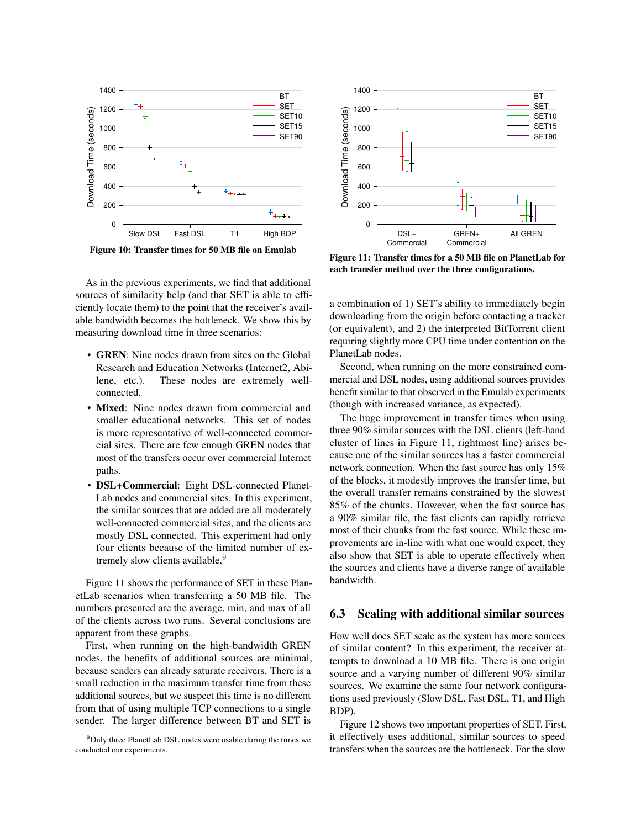

<span id="page-10-0"></span>Figure 10: Transfer times for 50 MB file on Emulab

As in the previous experiments, we find that additional sources of similarity help (and that SET is able to efficiently locate them) to the point that the receiver's available bandwidth becomes the bottleneck. We show this by measuring download time in three scenarios:

- GREN: Nine nodes drawn from sites on the Global Research and Education Networks (Internet2, Abilene, etc.). These nodes are extremely wellconnected.
- Mixed: Nine nodes drawn from commercial and smaller educational networks. This set of nodes is more representative of well-connected commercial sites. There are few enough GREN nodes that most of the transfers occur over commercial Internet paths.
- DSL+Commercial: Eight DSL-connected Planet-Lab nodes and commercial sites. In this experiment, the similar sources that are added are all moderately well-connected commercial sites, and the clients are mostly DSL connected. This experiment had only four clients because of the limited number of ex-tremely slow clients available.<sup>[9](#page-10-1)</sup>

Figure [11](#page-10-2) shows the performance of SET in these PlanetLab scenarios when transferring a 50 MB file. The numbers presented are the average, min, and max of all of the clients across two runs. Several conclusions are apparent from these graphs.

First, when running on the high-bandwidth GREN nodes, the benefits of additional sources are minimal, because senders can already saturate receivers. There is a small reduction in the maximum transfer time from these additional sources, but we suspect this time is no different from that of using multiple TCP connections to a single sender. The larger difference between BT and SET is



<span id="page-10-2"></span>Figure 11: Transfer times for a 50 MB file on PlanetLab for each transfer method over the three configurations.

a combination of 1) SET's ability to immediately begin downloading from the origin before contacting a tracker (or equivalent), and 2) the interpreted BitTorrent client requiring slightly more CPU time under contention on the PlanetLab nodes.

Second, when running on the more constrained commercial and DSL nodes, using additional sources provides benefit similar to that observed in the Emulab experiments (though with increased variance, as expected).

The huge improvement in transfer times when using three 90% similar sources with the DSL clients (left-hand cluster of lines in Figure [11,](#page-10-2) rightmost line) arises because one of the similar sources has a faster commercial network connection. When the fast source has only 15% of the blocks, it modestly improves the transfer time, but the overall transfer remains constrained by the slowest 85% of the chunks. However, when the fast source has a 90% similar file, the fast clients can rapidly retrieve most of their chunks from the fast source. While these improvements are in-line with what one would expect, they also show that SET is able to operate effectively when the sources and clients have a diverse range of available bandwidth.

### 6.3 Scaling with additional similar sources

How well does SET scale as the system has more sources of similar content? In this experiment, the receiver attempts to download a 10 MB file. There is one origin source and a varying number of different 90% similar sources. We examine the same four network configurations used previously (Slow DSL, Fast DSL, T1, and High BDP).

Figure [12](#page-11-0) shows two important properties of SET. First, it effectively uses additional, similar sources to speed transfers when the sources are the bottleneck. For the slow

<span id="page-10-1"></span><sup>9</sup>Only three PlanetLab DSL nodes were usable during the times we conducted our experiments.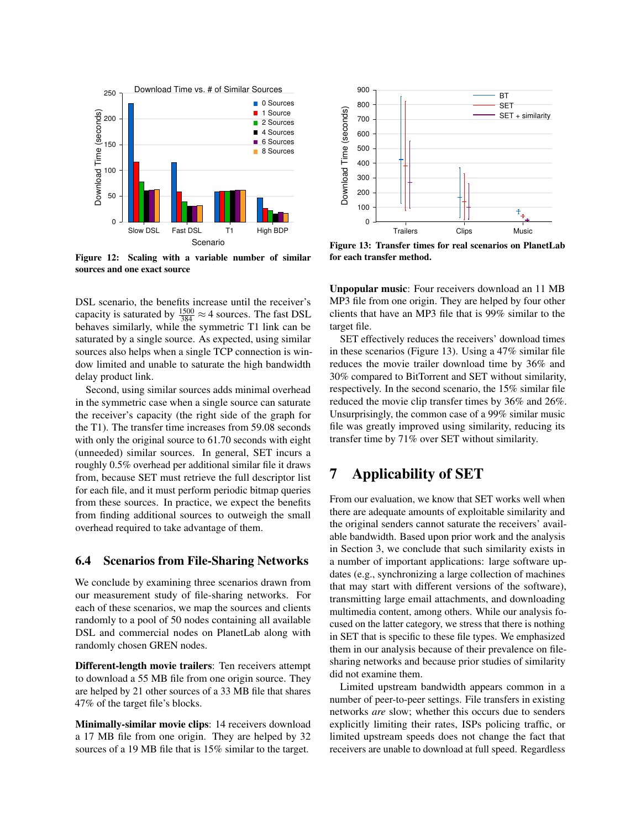

<span id="page-11-0"></span>Figure 12: Scaling with a variable number of similar sources and one exact source

DSL scenario, the benefits increase until the receiver's capacity is saturated by  $\frac{1500}{384} \approx 4$  sources. The fast DSL behaves similarly, while the symmetric T1 link can be saturated by a single source. As expected, using similar sources also helps when a single TCP connection is window limited and unable to saturate the high bandwidth delay product link.

Second, using similar sources adds minimal overhead in the symmetric case when a single source can saturate the receiver's capacity (the right side of the graph for the T1). The transfer time increases from 59.08 seconds with only the original source to 61.70 seconds with eight (unneeded) similar sources. In general, SET incurs a roughly 0.5% overhead per additional similar file it draws from, because SET must retrieve the full descriptor list for each file, and it must perform periodic bitmap queries from these sources. In practice, we expect the benefits from finding additional sources to outweigh the small overhead required to take advantage of them.

### 6.4 Scenarios from File-Sharing Networks

We conclude by examining three scenarios drawn from our measurement study of file-sharing networks. For each of these scenarios, we map the sources and clients randomly to a pool of 50 nodes containing all available DSL and commercial nodes on PlanetLab along with randomly chosen GREN nodes.

Different-length movie trailers: Ten receivers attempt to download a 55 MB file from one origin source. They are helped by 21 other sources of a 33 MB file that shares 47% of the target file's blocks.

Minimally-similar movie clips: 14 receivers download a 17 MB file from one origin. They are helped by 32 sources of a 19 MB file that is 15% similar to the target.



<span id="page-11-1"></span>Figure 13: Transfer times for real scenarios on PlanetLab for each transfer method.

Unpopular music: Four receivers download an 11 MB MP3 file from one origin. They are helped by four other clients that have an MP3 file that is 99% similar to the target file.

SET effectively reduces the receivers' download times in these scenarios (Figure [13\)](#page-11-1). Using a 47% similar file reduces the movie trailer download time by 36% and 30% compared to BitTorrent and SET without similarity, respectively. In the second scenario, the 15% similar file reduced the movie clip transfer times by 36% and 26%. Unsurprisingly, the common case of a 99% similar music file was greatly improved using similarity, reducing its transfer time by 71% over SET without similarity.

# 7 Applicability of SET

From our evaluation, we know that SET works well when there are adequate amounts of exploitable similarity and the original senders cannot saturate the receivers' available bandwidth. Based upon prior work and the analysis in Section [3,](#page-1-1) we conclude that such similarity exists in a number of important applications: large software updates (e.g., synchronizing a large collection of machines that may start with different versions of the software), transmitting large email attachments, and downloading multimedia content, among others. While our analysis focused on the latter category, we stress that there is nothing in SET that is specific to these file types. We emphasized them in our analysis because of their prevalence on filesharing networks and because prior studies of similarity did not examine them.

Limited upstream bandwidth appears common in a number of peer-to-peer settings. File transfers in existing networks *are* slow; whether this occurs due to senders explicitly limiting their rates, ISPs policing traffic, or limited upstream speeds does not change the fact that receivers are unable to download at full speed. Regardless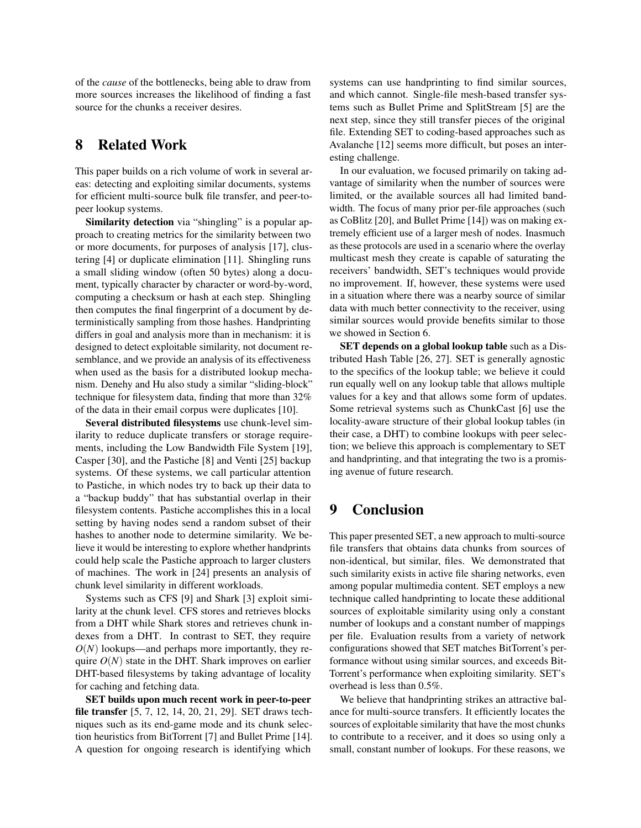of the *cause* of the bottlenecks, being able to draw from more sources increases the likelihood of finding a fast source for the chunks a receiver desires.

# 8 Related Work

This paper builds on a rich volume of work in several areas: detecting and exploiting similar documents, systems for efficient multi-source bulk file transfer, and peer-topeer lookup systems.

Similarity detection via "shingling" is a popular approach to creating metrics for the similarity between two or more documents, for purposes of analysis [[17](#page-13-26)], clustering [[4](#page-13-15)] or duplicate elimination [[11](#page-13-11)]. Shingling runs a small sliding window (often 50 bytes) along a document, typically character by character or word-by-word, computing a checksum or hash at each step. Shingling then computes the final fingerprint of a document by deterministically sampling from those hashes. Handprinting differs in goal and analysis more than in mechanism: it is designed to detect exploitable similarity, not document resemblance, and we provide an analysis of its effectiveness when used as the basis for a distributed lookup mechanism. Denehy and Hu also study a similar "sliding-block" technique for filesystem data, finding that more than 32% of the data in their email corpus were duplicates [\[10\]](#page-13-9).

Several distributed filesystems use chunk-level similarity to reduce duplicate transfers or storage requirements, including the Low Bandwidth File System [[19](#page-13-7)], Casper [[30](#page-13-27)], and the Pastiche [[8](#page-13-12)] and Venti [[25](#page-13-28)] backup systems. Of these systems, we call particular attention to Pastiche, in which nodes try to back up their data to a "backup buddy" that has substantial overlap in their filesystem contents. Pastiche accomplishes this in a local setting by having nodes send a random subset of their hashes to another node to determine similarity. We believe it would be interesting to explore whether handprints could help scale the Pastiche approach to larger clusters of machines. The work in [[24](#page-13-29)] presents an analysis of chunk level similarity in different workloads.

Systems such as CFS [[9](#page-13-3)] and Shark [[3](#page-13-4)] exploit similarity at the chunk level. CFS stores and retrieves blocks from a DHT while Shark stores and retrieves chunk indexes from a DHT. In contrast to SET, they require *O*(*N*) lookups—and perhaps more importantly, they require  $O(N)$  state in the DHT. Shark improves on earlier DHT-based filesystems by taking advantage of locality for caching and fetching data.

SET builds upon much recent work in peer-to-peer file transfer [[5](#page-13-18), [7](#page-13-0), [12](#page-13-30), [14](#page-13-17), [20](#page-13-20), [21](#page-13-31), [29](#page-13-19)]. SET draws techniques such as its end-game mode and its chunk selection heuristics from BitTorrent [[7](#page-13-0)] and Bullet Prime [[14](#page-13-17)]. A question for ongoing research is identifying which

systems can use handprinting to find similar sources, and which cannot. Single-file mesh-based transfer systems such as Bullet Prime and SplitStream [[5](#page-13-18)] are the next step, since they still transfer pieces of the original file. Extending SET to coding-based approaches such as Avalanche [[12](#page-13-30)] seems more difficult, but poses an interesting challenge.

In our evaluation, we focused primarily on taking advantage of similarity when the number of sources were limited, or the available sources all had limited bandwidth. The focus of many prior per-file approaches (such as CoBlitz [[20](#page-13-20)], and Bullet Prime [[14](#page-13-17)]) was on making extremely efficient use of a larger mesh of nodes. Inasmuch as these protocols are used in a scenario where the overlay multicast mesh they create is capable of saturating the receivers' bandwidth, SET's techniques would provide no improvement. If, however, these systems were used in a situation where there was a nearby source of similar data with much better connectivity to the receiver, using similar sources would provide benefits similar to those we showed in Section [6.](#page-8-0)

SET depends on a global lookup table such as a Distributed Hash Table [[26](#page-13-22), [27](#page-13-32)]. SET is generally agnostic to the specifics of the lookup table; we believe it could run equally well on any lookup table that allows multiple values for a key and that allows some form of updates. Some retrieval systems such as ChunkCast [[6](#page-13-2)] use the locality-aware structure of their global lookup tables (in their case, a DHT) to combine lookups with peer selection; we believe this approach is complementary to SET and handprinting, and that integrating the two is a promising avenue of future research.

# 9 Conclusion

This paper presented SET, a new approach to multi-source file transfers that obtains data chunks from sources of non-identical, but similar, files. We demonstrated that such similarity exists in active file sharing networks, even among popular multimedia content. SET employs a new technique called handprinting to locate these additional sources of exploitable similarity using only a constant number of lookups and a constant number of mappings per file. Evaluation results from a variety of network configurations showed that SET matches BitTorrent's performance without using similar sources, and exceeds Bit-Torrent's performance when exploiting similarity. SET's overhead is less than 0.5%.

We believe that handprinting strikes an attractive balance for multi-source transfers. It efficiently locates the sources of exploitable similarity that have the most chunks to contribute to a receiver, and it does so using only a small, constant number of lookups. For these reasons, we